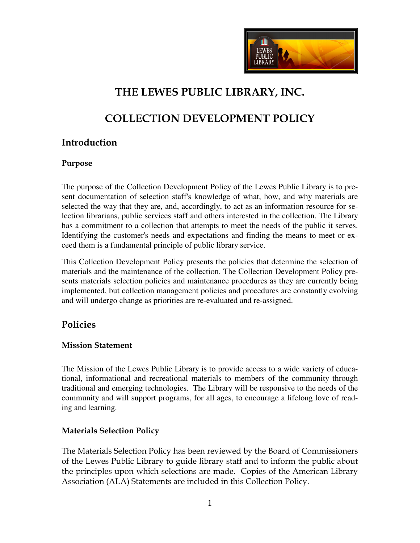

# **THE LEWES PUBLIC LIBRARY, INC.**

# **COLLECTION DEVELOPMENT POLICY**

## **Introduction**

#### **Purpose**

The purpose of the Collection Development Policy of the Lewes Public Library is to present documentation of selection staff's knowledge of what, how, and why materials are selected the way that they are, and, accordingly, to act as an information resource for selection librarians, public services staff and others interested in the collection. The Library has a commitment to a collection that attempts to meet the needs of the public it serves. Identifying the customer's needs and expectations and finding the means to meet or exceed them is a fundamental principle of public library service.

This Collection Development Policy presents the policies that determine the selection of materials and the maintenance of the collection. The Collection Development Policy presents materials selection policies and maintenance procedures as they are currently being implemented, but collection management policies and procedures are constantly evolving and will undergo change as priorities are re-evaluated and re-assigned.

## **Policies**

#### **Mission Statement**

The Mission of the Lewes Public Library is to provide access to a wide variety of educational, informational and recreational materials to members of the community through traditional and emerging technologies. The Library will be responsive to the needs of the community and will support programs, for all ages, to encourage a lifelong love of reading and learning.

## **Materials Selection Policy**

The Materials Selection Policy has been reviewed by the Board of Commissioners of the Lewes Public Library to guide library staff and to inform the public about the principles upon which selections are made. Copies of the American Library Association (ALA) Statements are included in this Collection Policy.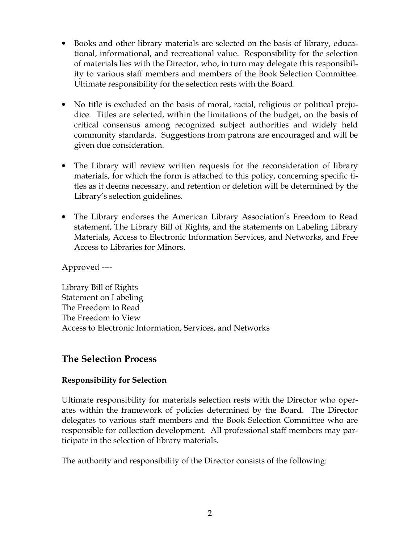- Books and other library materials are selected on the basis of library, educational, informational, and recreational value. Responsibility for the selection of materials lies with the Director, who, in turn may delegate this responsibility to various staff members and members of the Book Selection Committee. Ultimate responsibility for the selection rests with the Board.
- No title is excluded on the basis of moral, racial, religious or political prejudice. Titles are selected, within the limitations of the budget, on the basis of critical consensus among recognized subject authorities and widely held community standards. Suggestions from patrons are encouraged and will be given due consideration.
- The Library will review written requests for the reconsideration of library materials, for which the form is attached to this policy, concerning specific titles as it deems necessary, and retention or deletion will be determined by the Library's selection guidelines.
- The Library endorses the American Library Association's Freedom to Read statement, The Library Bill of Rights, and the statements on Labeling Library Materials, Access to Electronic Information Services, and Networks, and Free Access to Libraries for Minors.

Approved ----

Library Bill of Rights Statement on Labeling The Freedom to Read The Freedom to View Access to Electronic Information, Services, and Networks

## **The Selection Process**

## **Responsibility for Selection**

Ultimate responsibility for materials selection rests with the Director who operates within the framework of policies determined by the Board. The Director delegates to various staff members and the Book Selection Committee who are responsible for collection development. All professional staff members may participate in the selection of library materials.

The authority and responsibility of the Director consists of the following: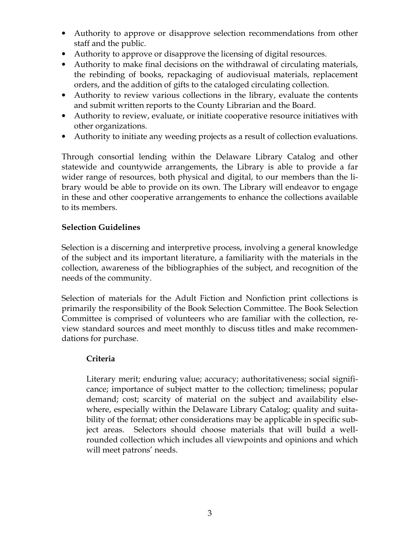- Authority to approve or disapprove selection recommendations from other staff and the public.
- Authority to approve or disapprove the licensing of digital resources.
- Authority to make final decisions on the withdrawal of circulating materials, the rebinding of books, repackaging of audiovisual materials, replacement orders, and the addition of gifts to the cataloged circulating collection.
- Authority to review various collections in the library, evaluate the contents and submit written reports to the County Librarian and the Board.
- Authority to review, evaluate, or initiate cooperative resource initiatives with other organizations.
- Authority to initiate any weeding projects as a result of collection evaluations.

Through consortial lending within the Delaware Library Catalog and other statewide and countywide arrangements, the Library is able to provide a far wider range of resources, both physical and digital, to our members than the library would be able to provide on its own. The Library will endeavor to engage in these and other cooperative arrangements to enhance the collections available to its members.

## **Selection Guidelines**

Selection is a discerning and interpretive process, involving a general knowledge of the subject and its important literature, a familiarity with the materials in the collection, awareness of the bibliographies of the subject, and recognition of the needs of the community.

Selection of materials for the Adult Fiction and Nonfiction print collections is primarily the responsibility of the Book Selection Committee. The Book Selection Committee is comprised of volunteers who are familiar with the collection, review standard sources and meet monthly to discuss titles and make recommendations for purchase.

## **Criteria**

Literary merit; enduring value; accuracy; authoritativeness; social significance; importance of subject matter to the collection; timeliness; popular demand; cost; scarcity of material on the subject and availability elsewhere, especially within the Delaware Library Catalog; quality and suitability of the format; other considerations may be applicable in specific subject areas. Selectors should choose materials that will build a wellrounded collection which includes all viewpoints and opinions and which will meet patrons' needs.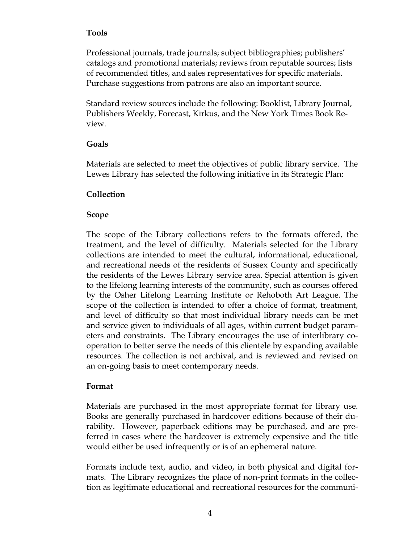#### **Tools**

Professional journals, trade journals; subject bibliographies; publishers' catalogs and promotional materials; reviews from reputable sources; lists of recommended titles, and sales representatives for specific materials. Purchase suggestions from patrons are also an important source.

Standard review sources include the following: Booklist, Library Journal, Publishers Weekly, Forecast, Kirkus, and the New York Times Book Review.

#### **Goals**

Materials are selected to meet the objectives of public library service. The Lewes Library has selected the following initiative in its Strategic Plan:

## **Collection**

#### **Scope**

The scope of the Library collections refers to the formats offered, the treatment, and the level of difficulty. Materials selected for the Library collections are intended to meet the cultural, informational, educational, and recreational needs of the residents of Sussex County and specifically the residents of the Lewes Library service area. Special attention is given to the lifelong learning interests of the community, such as courses offered by the Osher Lifelong Learning Institute or Rehoboth Art League. The scope of the collection is intended to offer a choice of format, treatment, and level of difficulty so that most individual library needs can be met and service given to individuals of all ages, within current budget parameters and constraints. The Library encourages the use of interlibrary cooperation to better serve the needs of this clientele by expanding available resources. The collection is not archival, and is reviewed and revised on an on-going basis to meet contemporary needs.

#### **Format**

Materials are purchased in the most appropriate format for library use. Books are generally purchased in hardcover editions because of their durability. However, paperback editions may be purchased, and are preferred in cases where the hardcover is extremely expensive and the title would either be used infrequently or is of an ephemeral nature.

Formats include text, audio, and video, in both physical and digital formats. The Library recognizes the place of non-print formats in the collection as legitimate educational and recreational resources for the communi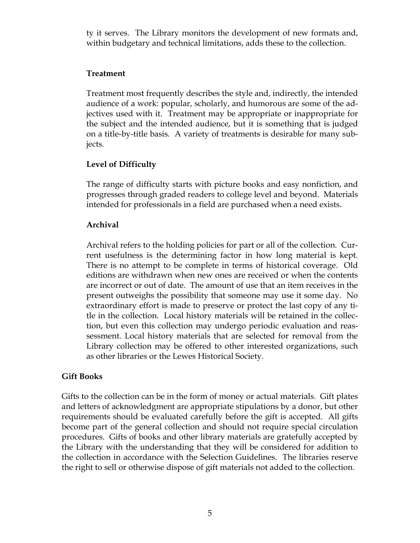ty it serves. The Library monitors the development of new formats and, within budgetary and technical limitations, adds these to the collection.

#### **Treatment**

Treatment most frequently describes the style and, indirectly, the intended audience of a work: popular, scholarly, and humorous are some of the adjectives used with it. Treatment may be appropriate or inappropriate for the subject and the intended audience, but it is something that is judged on a title-by-title basis. A variety of treatments is desirable for many subjects.

## **Level of Difficulty**

The range of difficulty starts with picture books and easy nonfiction, and progresses through graded readers to college level and beyond. Materials intended for professionals in a field are purchased when a need exists.

## **Archival**

Archival refers to the holding policies for part or all of the collection. Current usefulness is the determining factor in how long material is kept. There is no attempt to be complete in terms of historical coverage. Old editions are withdrawn when new ones are received or when the contents are incorrect or out of date. The amount of use that an item receives in the present outweighs the possibility that someone may use it some day. No extraordinary effort is made to preserve or protect the last copy of any title in the collection. Local history materials will be retained in the collection, but even this collection may undergo periodic evaluation and reassessment. Local history materials that are selected for removal from the Library collection may be offered to other interested organizations, such as other libraries or the Lewes Historical Society.

## **Gift Books**

Gifts to the collection can be in the form of money or actual materials. Gift plates and letters of acknowledgment are appropriate stipulations by a donor, but other requirements should be evaluated carefully before the gift is accepted. All gifts become part of the general collection and should not require special circulation procedures. Gifts of books and other library materials are gratefully accepted by the Library with the understanding that they will be considered for addition to the collection in accordance with the Selection Guidelines. The libraries reserve the right to sell or otherwise dispose of gift materials not added to the collection.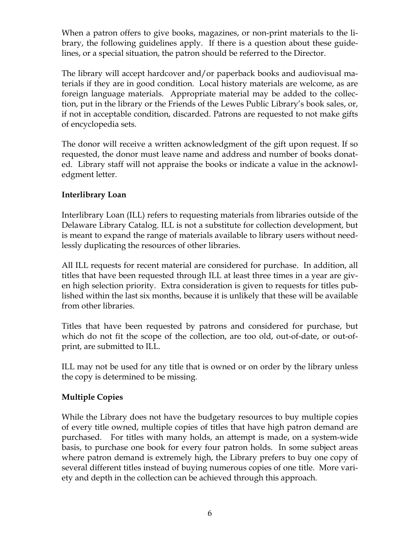When a patron offers to give books, magazines, or non-print materials to the library, the following guidelines apply. If there is a question about these guidelines, or a special situation, the patron should be referred to the Director.

The library will accept hardcover and/or paperback books and audiovisual materials if they are in good condition. Local history materials are welcome, as are foreign language materials. Appropriate material may be added to the collection, put in the library or the Friends of the Lewes Public Library's book sales, or, if not in acceptable condition, discarded. Patrons are requested to not make gifts of encyclopedia sets.

The donor will receive a written acknowledgment of the gift upon request. If so requested, the donor must leave name and address and number of books donated. Library staff will not appraise the books or indicate a value in the acknowledgment letter.

## **Interlibrary Loan**

Interlibrary Loan (ILL) refers to requesting materials from libraries outside of the Delaware Library Catalog. ILL is not a substitute for collection development, but is meant to expand the range of materials available to library users without needlessly duplicating the resources of other libraries.

All ILL requests for recent material are considered for purchase. In addition, all titles that have been requested through ILL at least three times in a year are given high selection priority. Extra consideration is given to requests for titles published within the last six months, because it is unlikely that these will be available from other libraries.

Titles that have been requested by patrons and considered for purchase, but which do not fit the scope of the collection, are too old, out-of-date, or out-ofprint, are submitted to ILL.

ILL may not be used for any title that is owned or on order by the library unless the copy is determined to be missing.

## **Multiple Copies**

While the Library does not have the budgetary resources to buy multiple copies of every title owned, multiple copies of titles that have high patron demand are purchased. For titles with many holds, an attempt is made, on a system-wide basis, to purchase one book for every four patron holds. In some subject areas where patron demand is extremely high, the Library prefers to buy one copy of several different titles instead of buying numerous copies of one title. More variety and depth in the collection can be achieved through this approach.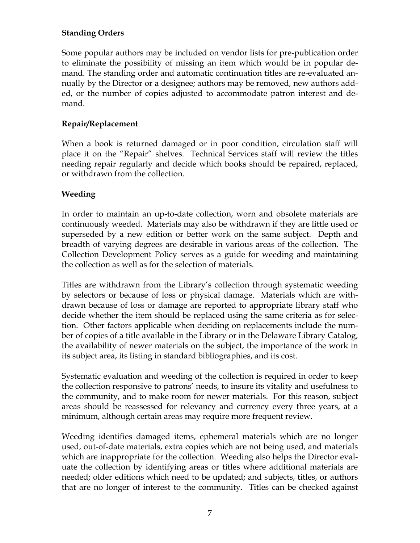## **Standing Orders**

Some popular authors may be included on vendor lists for pre-publication order to eliminate the possibility of missing an item which would be in popular demand. The standing order and automatic continuation titles are re-evaluated annually by the Director or a designee; authors may be removed, new authors added, or the number of copies adjusted to accommodate patron interest and demand.

## **Repair/Replacement**

When a book is returned damaged or in poor condition, circulation staff will place it on the "Repair" shelves. Technical Services staff will review the titles needing repair regularly and decide which books should be repaired, replaced, or withdrawn from the collection.

## **Weeding**

In order to maintain an up-to-date collection, worn and obsolete materials are continuously weeded. Materials may also be withdrawn if they are little used or superseded by a new edition or better work on the same subject. Depth and breadth of varying degrees are desirable in various areas of the collection. The Collection Development Policy serves as a guide for weeding and maintaining the collection as well as for the selection of materials.

Titles are withdrawn from the Library's collection through systematic weeding by selectors or because of loss or physical damage. Materials which are withdrawn because of loss or damage are reported to appropriate library staff who decide whether the item should be replaced using the same criteria as for selection. Other factors applicable when deciding on replacements include the number of copies of a title available in the Library or in the Delaware Library Catalog, the availability of newer materials on the subject, the importance of the work in its subject area, its listing in standard bibliographies, and its cost.

Systematic evaluation and weeding of the collection is required in order to keep the collection responsive to patrons' needs, to insure its vitality and usefulness to the community, and to make room for newer materials. For this reason, subject areas should be reassessed for relevancy and currency every three years, at a minimum, although certain areas may require more frequent review.

Weeding identifies damaged items, ephemeral materials which are no longer used, out-of-date materials, extra copies which are not being used, and materials which are inappropriate for the collection. Weeding also helps the Director evaluate the collection by identifying areas or titles where additional materials are needed; older editions which need to be updated; and subjects, titles, or authors that are no longer of interest to the community. Titles can be checked against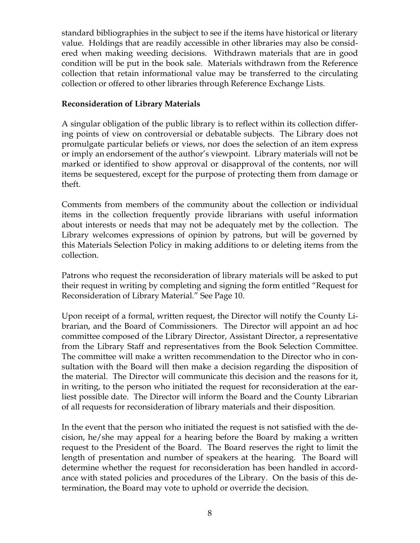standard bibliographies in the subject to see if the items have historical or literary value. Holdings that are readily accessible in other libraries may also be considered when making weeding decisions. Withdrawn materials that are in good condition will be put in the book sale. Materials withdrawn from the Reference collection that retain informational value may be transferred to the circulating collection or offered to other libraries through Reference Exchange Lists.

#### **Reconsideration of Library Materials**

A singular obligation of the public library is to reflect within its collection differing points of view on controversial or debatable subjects. The Library does not promulgate particular beliefs or views, nor does the selection of an item express or imply an endorsement of the author's viewpoint. Library materials will not be marked or identified to show approval or disapproval of the contents, nor will items be sequestered, except for the purpose of protecting them from damage or theft.

Comments from members of the community about the collection or individual items in the collection frequently provide librarians with useful information about interests or needs that may not be adequately met by the collection. The Library welcomes expressions of opinion by patrons, but will be governed by this Materials Selection Policy in making additions to or deleting items from the collection.

Patrons who request the reconsideration of library materials will be asked to put their request in writing by completing and signing the form entitled "Request for Reconsideration of Library Material." See Page 10.

Upon receipt of a formal, written request, the Director will notify the County Librarian, and the Board of Commissioners. The Director will appoint an ad hoc committee composed of the Library Director, Assistant Director, a representative from the Library Staff and representatives from the Book Selection Committee. The committee will make a written recommendation to the Director who in consultation with the Board will then make a decision regarding the disposition of the material. The Director will communicate this decision and the reasons for it, in writing, to the person who initiated the request for reconsideration at the earliest possible date. The Director will inform the Board and the County Librarian of all requests for reconsideration of library materials and their disposition.

In the event that the person who initiated the request is not satisfied with the decision, he/she may appeal for a hearing before the Board by making a written request to the President of the Board. The Board reserves the right to limit the length of presentation and number of speakers at the hearing. The Board will determine whether the request for reconsideration has been handled in accordance with stated policies and procedures of the Library. On the basis of this determination, the Board may vote to uphold or override the decision.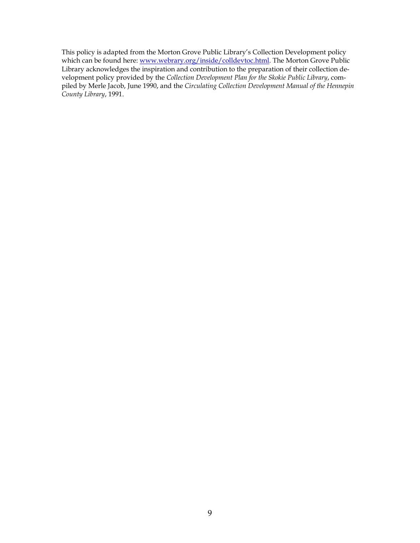This policy is adapted from the Morton Grove Public Library's Collection Development policy which can be found here: www.webrary.org/inside/colldevtoc.html. The Morton Grove Public Library acknowledges the inspiration and contribution to the preparation of their collection development policy provided by the *Collection Development Plan for the Skokie Public Library*, compiled by Merle Jacob, June 1990, and the *Circulating Collection Development Manual of the Hennepin County Library*, 1991.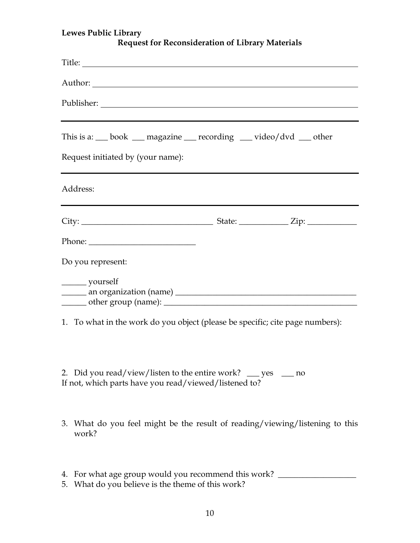| Lewes Public Library<br><b>Request for Reconsideration of Library Materials</b>                                                   |  |  |  |  |
|-----------------------------------------------------------------------------------------------------------------------------------|--|--|--|--|
|                                                                                                                                   |  |  |  |  |
|                                                                                                                                   |  |  |  |  |
|                                                                                                                                   |  |  |  |  |
| This is a: __ book __ magazine __ recording __ video/dvd __ other<br>Request initiated by (your name):                            |  |  |  |  |
| Address:<br><u> 1989 - Johann Stoff, deutscher Stoff, der Stoff, der Stoff, der Stoff, der Stoff, der Stoff, der Stoff, der S</u> |  |  |  |  |
| $City:$ $Zip:$ $Zip:$ $\Box$                                                                                                      |  |  |  |  |
|                                                                                                                                   |  |  |  |  |
| Do you represent:                                                                                                                 |  |  |  |  |
| ________ yourself                                                                                                                 |  |  |  |  |
| 1. To what in the work do you object (please be specific; cite page numbers):                                                     |  |  |  |  |

| 2. Did you read/view/listen to the entire work? $\equiv$ yes | $\equiv$ no |
|--------------------------------------------------------------|-------------|
| If not, which parts have you read/viewed/listened to?        |             |

- 3. What do you feel might be the result of reading/viewing/listening to this work?
- 4. For what age group would you recommend this work? \_\_\_\_\_\_\_\_\_\_\_\_\_\_\_\_\_\_\_\_\_\_\_\_\_\_\_
- 5. What do you believe is the theme of this work?